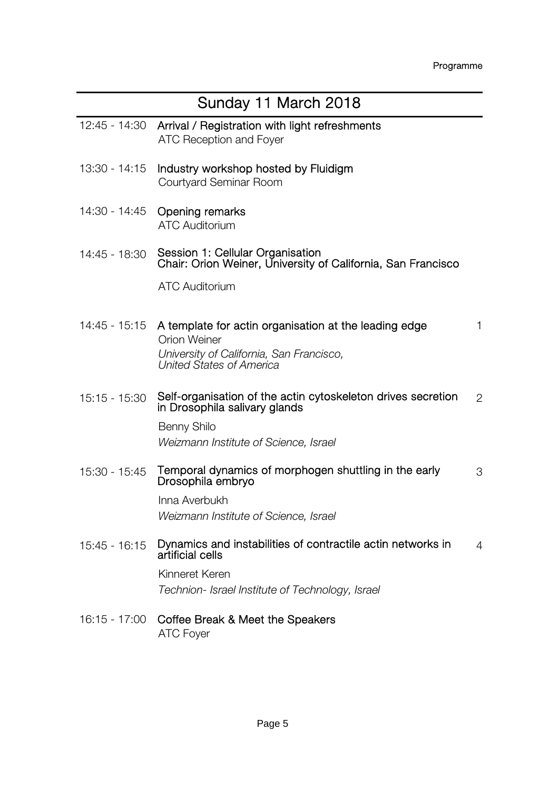| Sunday 11 March 2018 |                                                                                                                                                                    |             |
|----------------------|--------------------------------------------------------------------------------------------------------------------------------------------------------------------|-------------|
| 12:45 - 14:30        | Arrival / Registration with light refreshments<br><b>ATC Reception and Foyer</b>                                                                                   |             |
| 13:30 - 14:15        | Industry workshop hosted by Fluidigm<br>Courtyard Seminar Room                                                                                                     |             |
| 14:30 - 14:45        | <b>Opening remarks</b><br><b>ATC Auditorium</b>                                                                                                                    |             |
| 14:45 - 18:30        | Session 1: Cellular Organisation<br>Chair: Orion Weiner, University of California, San Francisco                                                                   |             |
|                      | <b>ATC Auditorium</b>                                                                                                                                              |             |
|                      | 14:45 - 15:15 A template for actin organisation at the leading edge<br><b>Orion Weiner</b><br>University of California, San Francisco,<br>United States of America | $\mathbf 1$ |
| $15:15 - 15:30$      | Self-organisation of the actin cytoskeleton drives secretion<br>in Drosophila salivary glands                                                                      | 2           |
|                      | Benny Shilo<br>Weizmann Institute of Science, Israel                                                                                                               |             |
| 15:30 - 15:45        | Temporal dynamics of morphogen shuttling in the early<br>Drosophila embryo                                                                                         | 3           |
|                      | Inna Averbukh                                                                                                                                                      |             |
|                      | Weizmann Institute of Science, Israel                                                                                                                              |             |
| $15:45 - 16:15$      | Dynamics and instabilities of contractile actin networks in<br>artificial cells                                                                                    | 4           |
|                      | Kinneret Keren<br>Technion- Israel Institute of Technology, Israel                                                                                                 |             |
|                      | 16:15 - 17:00 Coffee Break & Meet the Speakers<br><b>ATC Foyer</b>                                                                                                 |             |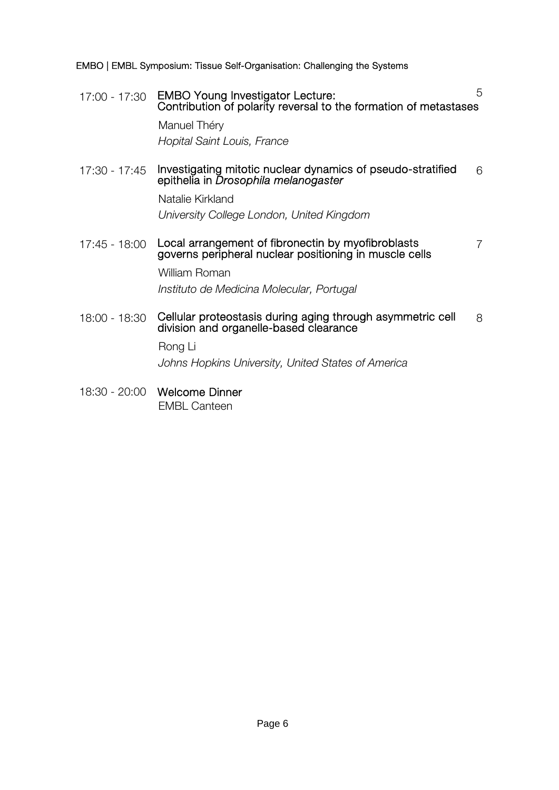EMBO | EMBL Symposium: Tissue Self-Organisation: Challenging the Systems

17:00 - 17:30 EMBO Young Investigator Lecture: Contribution of polarity reversal to the formation of metastases 5

Manuel Théry Hopital Saint Louis, France

17:30 - 17:45 Investigating mitotic nuclear dynamics of pseudo-stratified 6<br>epithelia in *Drosophila melanogaster* 

Natalie Kirkland University College London, United Kingdom

17:45 - 18:00 Local arrangement of fibronectin by myofibroblasts governs peripheral nuclear positioning in muscle cells

7

William Roman Instituto de Medicina Molecular, Portugal

18:00 - 18:30 Cellular proteostasis during aging through asymmetric cell division and organelle-based clearance 8

Rong Li

Johns Hopkins University, United States of America

18:30 - 20:00 Welcome Dinner EMBL Canteen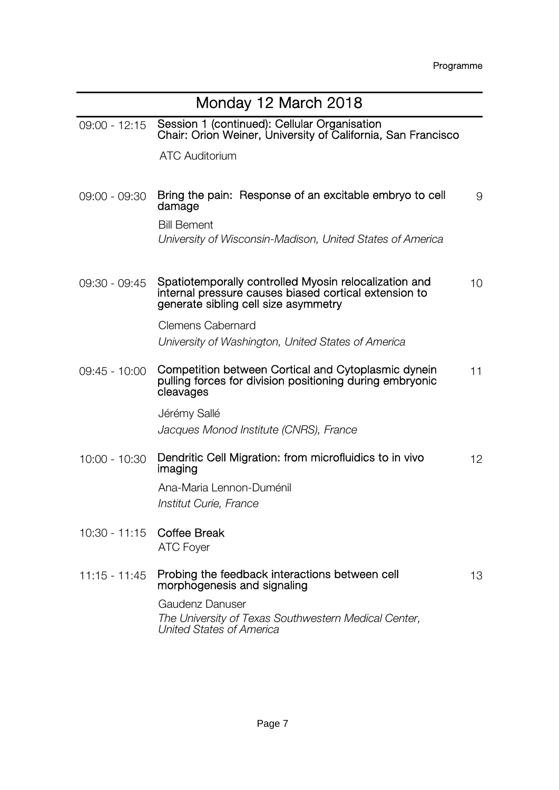| Monday 12 March 2018       |                                                                                                                                                        |    |
|----------------------------|--------------------------------------------------------------------------------------------------------------------------------------------------------|----|
| $09:00 - 12:15$            | Session 1 (continued): Cellular Organisation<br>Chair: Orion Weiner, University of California, San Francisco                                           |    |
|                            | <b>ATC Auditorium</b>                                                                                                                                  |    |
| 09:00 - 09:30              | Bring the pain: Response of an excitable embryo to cell<br>damage                                                                                      | 9  |
|                            | <b>Bill Bement</b><br>University of Wisconsin-Madison, United States of America                                                                        |    |
| $09:30 - 09:45$            | Spatiotemporally controlled Myosin relocalization and<br>internal pressure causes biased cortical extension to<br>generate sibling cell size asymmetry | 10 |
|                            | <b>Clemens Cabernard</b><br>University of Washington, United States of America                                                                         |    |
| 09:45 - 10:00              | Competition between Cortical and Cytoplasmic dynein<br>pulling forces for division positioning during embryonic<br>cleavages                           | 11 |
|                            | Jérémy Sallé<br>Jacques Monod Institute (CNRS), France                                                                                                 |    |
| 10:00 - 10:30              | Dendritic Cell Migration: from microfluidics to in vivo<br>imaging                                                                                     | 12 |
|                            | Ana-Maria Lennon-Duménil<br>Institut Curie, France                                                                                                     |    |
| 10:30 - 11:15 Coffee Break | <b>ATC Foyer</b>                                                                                                                                       |    |
| $11:15 - 11:45$            | Probing the feedback interactions between cell<br>morphogenesis and signaling                                                                          | 13 |
|                            | <b>Gaudenz Danuser</b><br>The University of Texas Southwestern Medical Center,<br>United States of America                                             |    |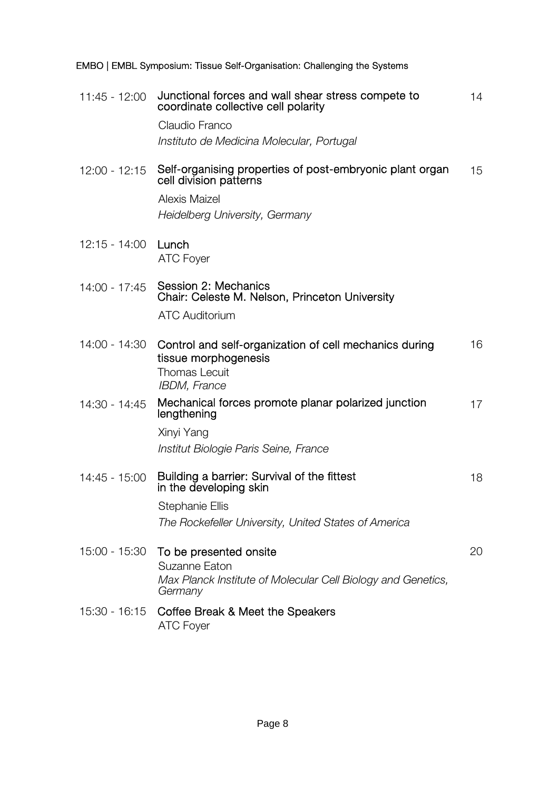11:45 - 12:00 Junctional forces and wall shear stress compete to coordinate collective cell polarity Claudio Franco Instituto de Medicina Molecular, Portugal 12:00 - 12:15 Self-organising properties of post-embryonic plant organ cell division patterns Alexis Maizel Heidelberg University, Germany 12:15 - 14:00 Lunch ATC Foyer 14:00 - 17:45 Session 2: Mechanics Chair: Celeste M. Nelson, Princeton University ATC Auditorium

14

15

EMBO | EMBL Symposium: Tissue Self-Organisation: Challenging the Systems

|               | 14:00 - 14:30 Control and self-organization of cell mechanics during<br>tissue morphogenesis<br><b>Thomas Lecuit</b><br><b>IBDM, France</b> | 16 |
|---------------|---------------------------------------------------------------------------------------------------------------------------------------------|----|
| 14:30 - 14:45 | Mechanical forces promote planar polarized junction<br>lengthening                                                                          | 17 |
|               | Xinyi Yang                                                                                                                                  |    |
|               | Institut Biologie Paris Seine, France                                                                                                       |    |
| 14:45 - 15:00 | Building a barrier: Survival of the fittest<br>in the developing skin                                                                       | 18 |
|               | Stephanie Ellis                                                                                                                             |    |
|               | The Rockefeller University, United States of America                                                                                        |    |
|               | 15:00 - 15:30 To be presented onsite<br>Suzanne Eaton                                                                                       | 20 |
|               | Max Planck Institute of Molecular Cell Biology and Genetics,<br>Germany                                                                     |    |
|               | 15:30 - 16:15 Coffee Break & Meet the Speakers<br><b>ATC Foyer</b>                                                                          |    |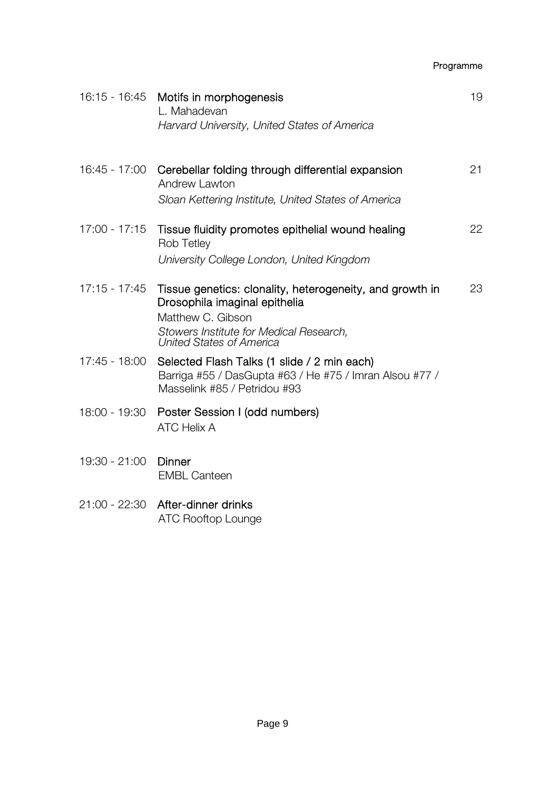Programme

|                 | 16:15 - 16:45 Motifs in morphogenesis<br>L. Mahadevan<br>Harvard University, United States of America                                                                                        | 19 |
|-----------------|----------------------------------------------------------------------------------------------------------------------------------------------------------------------------------------------|----|
| 16:45 - 17:00   | Cerebellar folding through differential expansion<br><b>Andrew Lawton</b><br>Sloan Kettering Institute, United States of America                                                             | 21 |
| $17:00 - 17:15$ | Tissue fluidity promotes epithelial wound healing<br><b>Rob Tetley</b><br>University College London, United Kingdom                                                                          | 22 |
| $17:15 - 17:45$ | Tissue genetics: clonality, heterogeneity, and growth in<br>Drosophila imaginal epithelia<br>Matthew C. Gibson<br>Stowers Institute for Medical Research,<br><b>United States of America</b> | 23 |
| 17:45 - 18:00   | Selected Flash Talks (1 slide / 2 min each)<br>Barriga #55 / DasGupta #63 / He #75 / Imran Alsou #77 /<br>Masselink #85 / Petridou #93                                                       |    |
|                 | 18:00 - 19:30 Poster Session I (odd numbers)<br><b>ATC Helix A</b>                                                                                                                           |    |
| 19:30 - 21:00   | Dinner<br><b>EMBL Canteen</b>                                                                                                                                                                |    |
|                 | 21:00 - 22:30 After-dinner drinks<br><b>ATC Rooftop Lounge</b>                                                                                                                               |    |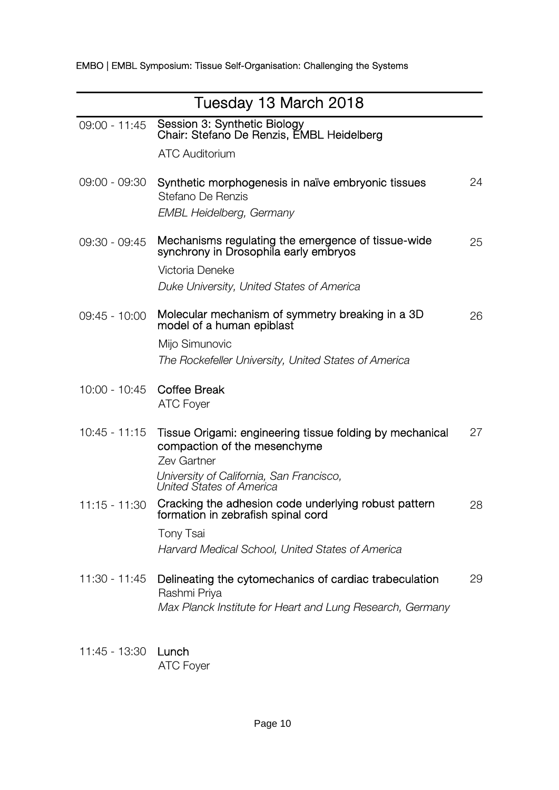| Tuesday 13 March 2018 |                                                                                                                                                                                 |    |
|-----------------------|---------------------------------------------------------------------------------------------------------------------------------------------------------------------------------|----|
| 09:00 - 11:45         | Session 3: Synthetic Biology<br>Chair: Stefano De Renzis, EMBL Heidelberg<br><b>ATC Auditorium</b>                                                                              |    |
| 09:00 - 09:30         | Synthetic morphogenesis in naïve embryonic tissues<br>Stefano De Renzis<br><b>EMBL Heidelberg, Germany</b>                                                                      | 24 |
| 09:30 - 09:45         | Mechanisms regulating the emergence of tissue-wide<br>synchrony in Drosophila early embryos<br>Victoria Deneke<br>Duke University, United States of America                     | 25 |
| 09:45 - 10:00         | Molecular mechanism of symmetry breaking in a 3D<br>model of a human epiblast<br>Mijo Simunovic<br>The Rockefeller University, United States of America                         | 26 |
| 10:00 - 10:45         | <b>Coffee Break</b><br><b>ATC Foyer</b>                                                                                                                                         |    |
| $10:45 - 11:15$       | Tissue Origami: engineering tissue folding by mechanical<br>compaction of the mesenchyme<br>Zev Gartner<br>University of California, San Francisco,<br>United States of America | 27 |
| $11:15 - 11:30$       | Cracking the adhesion code underlying robust pattern<br>formation in zebrafish spinal cord<br><b>Tony Tsai</b><br>Harvard Medical School, United States of America              | 28 |
| 11:30 - 11:45         | Delineating the cytomechanics of cardiac trabeculation<br>Rashmi Priya<br>Max Planck Institute for Heart and Lung Research, Germany                                             | 29 |

11:45 - 13:30 Lunch ATC Foyer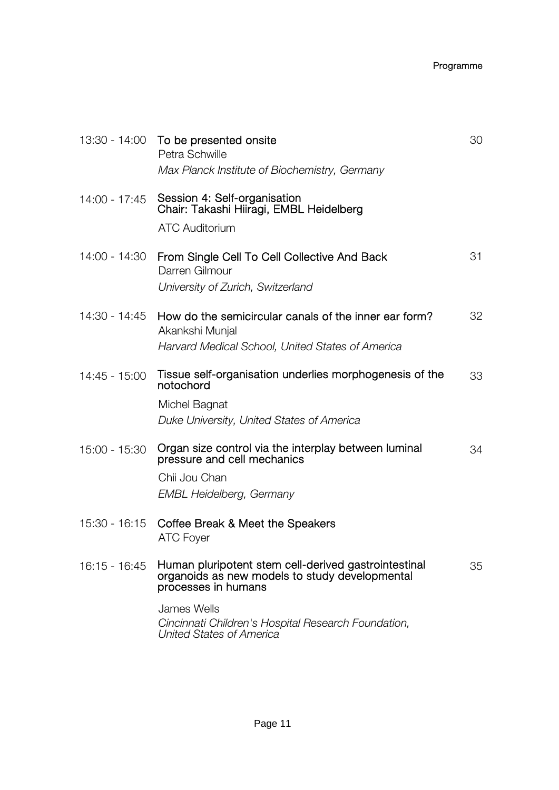## Programme

| Session 4: Self-organisation<br>14:00 - 17:45<br>Chair: Takashi Hiiragi, EMBL Heidelberg<br><b>ATC Auditorium</b><br>14:00 - 14:30<br>From Single Cell To Cell Collective And Back<br>Darren Gilmour<br>University of Zurich, Switzerland<br>14:30 - 14:45<br>How do the semicircular canals of the inner ear form?<br>Akankshi Munjal<br>Harvard Medical School, United States of America<br>Tissue self-organisation underlies morphogenesis of the<br>14:45 - 15:00<br>notochord<br>Michel Bagnat<br>Duke University, United States of America<br>Organ size control via the interplay between luminal<br>15:00 - 15:30<br>pressure and cell mechanics<br>Chii Jou Chan<br>EMBL Heidelberg, Germany<br>15:30 - 16:15 Coffee Break & Meet the Speakers<br><b>ATC Foyer</b><br>Human pluripotent stem cell-derived gastrointestinal<br>$16:15 - 16:45$<br>organoids as new models to study developmental<br>processes in humans<br>James Wells<br>Cincinnati Children's Hospital Research Foundation, | 13:30 - 14:00 To be presented onsite<br>Petra Schwille<br>Max Planck Institute of Biochemistry, Germany | 30 |
|--------------------------------------------------------------------------------------------------------------------------------------------------------------------------------------------------------------------------------------------------------------------------------------------------------------------------------------------------------------------------------------------------------------------------------------------------------------------------------------------------------------------------------------------------------------------------------------------------------------------------------------------------------------------------------------------------------------------------------------------------------------------------------------------------------------------------------------------------------------------------------------------------------------------------------------------------------------------------------------------------------|---------------------------------------------------------------------------------------------------------|----|
|                                                                                                                                                                                                                                                                                                                                                                                                                                                                                                                                                                                                                                                                                                                                                                                                                                                                                                                                                                                                        |                                                                                                         |    |
|                                                                                                                                                                                                                                                                                                                                                                                                                                                                                                                                                                                                                                                                                                                                                                                                                                                                                                                                                                                                        |                                                                                                         | 31 |
|                                                                                                                                                                                                                                                                                                                                                                                                                                                                                                                                                                                                                                                                                                                                                                                                                                                                                                                                                                                                        |                                                                                                         | 32 |
|                                                                                                                                                                                                                                                                                                                                                                                                                                                                                                                                                                                                                                                                                                                                                                                                                                                                                                                                                                                                        |                                                                                                         | 33 |
|                                                                                                                                                                                                                                                                                                                                                                                                                                                                                                                                                                                                                                                                                                                                                                                                                                                                                                                                                                                                        |                                                                                                         | 34 |
|                                                                                                                                                                                                                                                                                                                                                                                                                                                                                                                                                                                                                                                                                                                                                                                                                                                                                                                                                                                                        |                                                                                                         |    |
|                                                                                                                                                                                                                                                                                                                                                                                                                                                                                                                                                                                                                                                                                                                                                                                                                                                                                                                                                                                                        |                                                                                                         | 35 |
|                                                                                                                                                                                                                                                                                                                                                                                                                                                                                                                                                                                                                                                                                                                                                                                                                                                                                                                                                                                                        | United States of America                                                                                |    |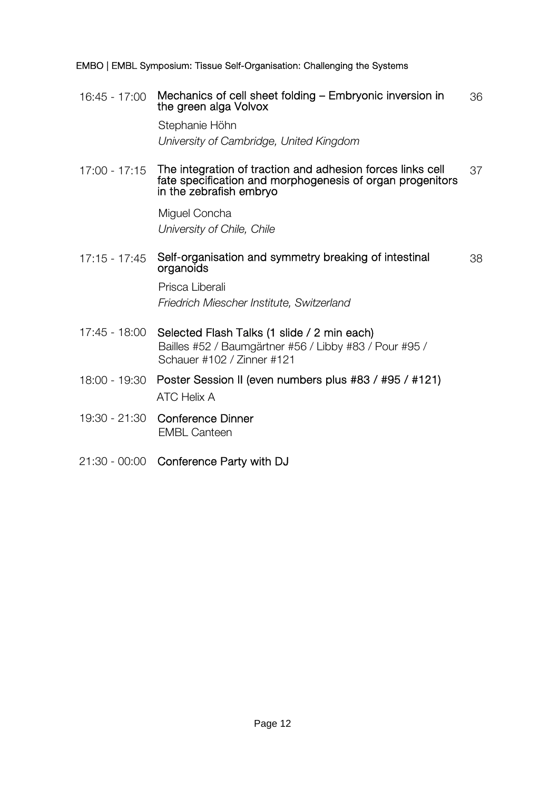EMBO | EMBL Symposium: Tissue Self-Organisation: Challenging the Systems

16:45 - 17:00 Mechanics of cell sheet folding – Embryonic inversion in the green alga Volvox 36

> Stephanie Höhn University of Cambridge, United Kingdom

17:00 - 17:15 The integration of traction and adhesion forces links cell fate specification and morphogenesis of organ progenitors in the zebrafish embryo 37

> Miguel Concha University of Chile, Chile

## 17:15 - 17:45 Self-organisation and symmetry breaking of intestinal organoids 38

Prisca Liberali Friedrich Miescher Institute, Switzerland

- 17:45 18:00 Selected Flash Talks (1 slide / 2 min each) Bailles #52 / Baumgärtner #56 / Libby #83 / Pour #95 / Schauer #102 / Zinner #121
- 18:00 19:30 Poster Session II (even numbers plus #83 / #95 / #121) ATC Helix A
- 19:30 21:30 Conference Dinner EMBL Canteen
- 21:30 00:00 Conference Party with DJ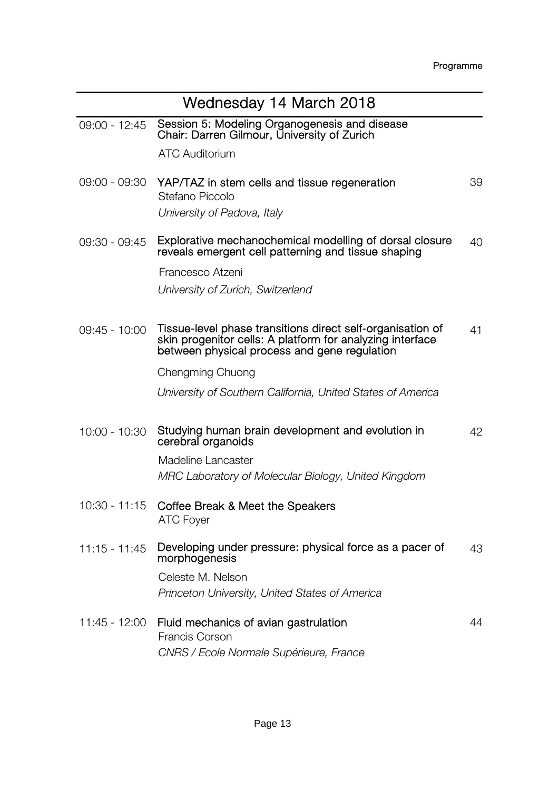| Wednesday 14 March 2018 |                                                                                                                                                                         |    |
|-------------------------|-------------------------------------------------------------------------------------------------------------------------------------------------------------------------|----|
| 09:00 - 12:45           | Session 5: Modeling Organogenesis and disease<br>Chair: Darren Gilmour, University of Zurich                                                                            |    |
|                         | <b>ATC Auditorium</b>                                                                                                                                                   |    |
| 09:00 - 09:30           | YAP/TAZ in stem cells and tissue regeneration<br>Stefano Piccolo                                                                                                        | 39 |
|                         | University of Padova, Italy                                                                                                                                             |    |
| 09:30 - 09:45           | Explorative mechanochemical modelling of dorsal closure<br>reveals emergent cell patterning and tissue shaping                                                          | 40 |
|                         | Francesco Atzeni                                                                                                                                                        |    |
|                         | University of Zurich, Switzerland                                                                                                                                       |    |
| 09:45 - 10:00           | Tissue-level phase transitions direct self-organisation of<br>skin progenitor cells: A platform for analyzing interface<br>between physical process and gene regulation | 41 |
|                         | Chengming Chuong                                                                                                                                                        |    |
|                         | University of Southern California, United States of America                                                                                                             |    |
|                         |                                                                                                                                                                         |    |
| $10:00 - 10:30$         | Studying human brain development and evolution in<br>cerebral organoids                                                                                                 | 42 |
|                         | Madeline Lancaster                                                                                                                                                      |    |
|                         | MRC Laboratory of Molecular Biology, United Kingdom                                                                                                                     |    |
| $10:30 - 11:15$         | Coffee Break & Meet the Speakers<br><b>ATC Foyer</b>                                                                                                                    |    |
| $11:15 - 11:45$         | Developing under pressure: physical force as a pacer of<br>morphogenesis                                                                                                | 43 |
|                         | Celeste M. Nelson                                                                                                                                                       |    |
|                         | Princeton University, United States of America                                                                                                                          |    |
|                         | 11:45 - 12:00 Fluid mechanics of avian gastrulation<br><b>Francis Corson</b>                                                                                            | 44 |
|                         | CNRS / Ecole Normale Supérieure, France                                                                                                                                 |    |